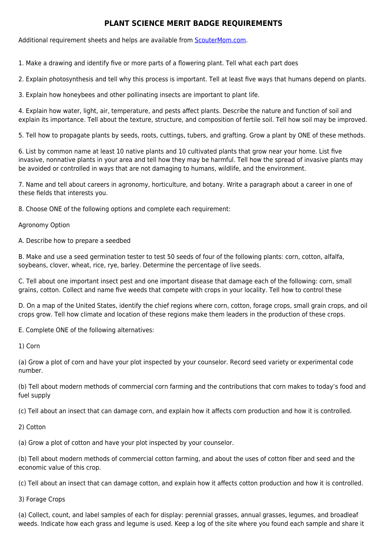## **PLANT SCIENCE MERIT BADGE REQUIREMENTS**

Additional requirement sheets and helps are available from [ScouterMom.com](http://scoutermom.com).

1. Make a drawing and identify five or more parts of a flowering plant. Tell what each part does

2. Explain photosynthesis and tell why this process is important. Tell at least five ways that humans depend on plants.

3. Explain how honeybees and other pollinating insects are important to plant life.

4. Explain how water, light, air, temperature, and pests affect plants. Describe the nature and function of soil and explain its importance. Tell about the texture, structure, and composition of fertile soil. Tell how soil may be improved.

5. Tell how to propagate plants by seeds, roots, cuttings, tubers, and grafting. Grow a plant by ONE of these methods.

6. List by common name at least 10 native plants and 10 cultivated plants that grow near your home. List five invasive, nonnative plants in your area and tell how they may be harmful. Tell how the spread of invasive plants may be avoided or controlled in ways that are not damaging to humans, wildlife, and the environment.

7. Name and tell about careers in agronomy, horticulture, and botany. Write a paragraph about a career in one of these fields that interests you.

8. Choose ONE of the following options and complete each requirement:

Agronomy Option

A. Describe how to prepare a seedbed

B. Make and use a seed germination tester to test 50 seeds of four of the following plants: corn, cotton, alfalfa, soybeans, clover, wheat, rice, rye, barley. Determine the percentage of live seeds.

C. Tell about one important insect pest and one important disease that damage each of the following: corn, small grains, cotton. Collect and name five weeds that compete with crops in your locality. Tell how to control these

D. On a map of the United States, identify the chief regions where corn, cotton, forage crops, small grain crops, and oil crops grow. Tell how climate and location of these regions make them leaders in the production of these crops.

E. Complete ONE of the following alternatives:

1) Corn

(a) Grow a plot of corn and have your plot inspected by your counselor. Record seed variety or experimental code number.

(b) Tell about modern methods of commercial corn farming and the contributions that corn makes to today's food and fuel supply

(c) Tell about an insect that can damage corn, and explain how it affects corn production and how it is controlled.

2) Cotton

(a) Grow a plot of cotton and have your plot inspected by your counselor.

(b) Tell about modern methods of commercial cotton farming, and about the uses of cotton fiber and seed and the economic value of this crop.

(c) Tell about an insect that can damage cotton, and explain how it affects cotton production and how it is controlled.

3) Forage Crops

(a) Collect, count, and label samples of each for display: perennial grasses, annual grasses, legumes, and broadleaf weeds. Indicate how each grass and legume is used. Keep a log of the site where you found each sample and share it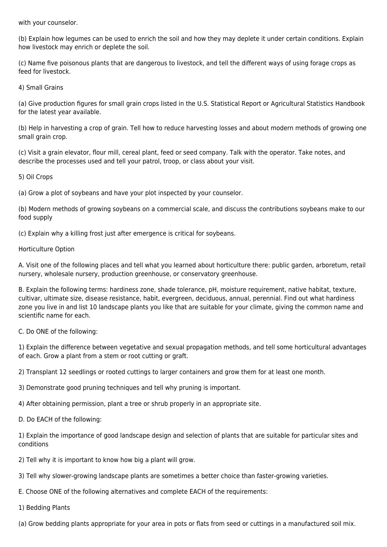with your counselor.

(b) Explain how legumes can be used to enrich the soil and how they may deplete it under certain conditions. Explain how livestock may enrich or deplete the soil.

(c) Name five poisonous plants that are dangerous to livestock, and tell the different ways of using forage crops as feed for livestock.

4) Small Grains

(a) Give production figures for small grain crops listed in the U.S. Statistical Report or Agricultural Statistics Handbook for the latest year available.

(b) Help in harvesting a crop of grain. Tell how to reduce harvesting losses and about modern methods of growing one small grain crop.

(c) Visit a grain elevator, flour mill, cereal plant, feed or seed company. Talk with the operator. Take notes, and describe the processes used and tell your patrol, troop, or class about your visit.

5) Oil Crops

(a) Grow a plot of soybeans and have your plot inspected by your counselor.

(b) Modern methods of growing soybeans on a commercial scale, and discuss the contributions soybeans make to our food supply

(c) Explain why a killing frost just after emergence is critical for soybeans.

## Horticulture Option

A. Visit one of the following places and tell what you learned about horticulture there: public garden, arboretum, retail nursery, wholesale nursery, production greenhouse, or conservatory greenhouse.

B. Explain the following terms: hardiness zone, shade tolerance, pH, moisture requirement, native habitat, texture, cultivar, ultimate size, disease resistance, habit, evergreen, deciduous, annual, perennial. Find out what hardiness zone you live in and list 10 landscape plants you like that are suitable for your climate, giving the common name and scientific name for each.

## C. Do ONE of the following:

1) Explain the difference between vegetative and sexual propagation methods, and tell some horticultural advantages of each. Grow a plant from a stem or root cutting or graft.

2) Transplant 12 seedlings or rooted cuttings to larger containers and grow them for at least one month.

3) Demonstrate good pruning techniques and tell why pruning is important.

4) After obtaining permission, plant a tree or shrub properly in an appropriate site.

D. Do EACH of the following:

1) Explain the importance of good landscape design and selection of plants that are suitable for particular sites and conditions

2) Tell why it is important to know how big a plant will grow.

3) Tell why slower-growing landscape plants are sometimes a better choice than faster-growing varieties.

E. Choose ONE of the following alternatives and complete EACH of the requirements:

1) Bedding Plants

(a) Grow bedding plants appropriate for your area in pots or flats from seed or cuttings in a manufactured soil mix.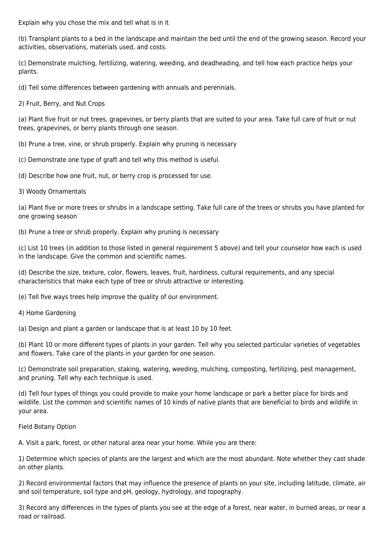Explain why you chose the mix and tell what is in it

(b) Transplant plants to a bed in the landscape and maintain the bed until the end of the growing season. Record your activities, observations, materials used, and costs.

(c) Demonstrate mulching, fertilizing, watering, weeding, and deadheading, and tell how each practice helps your plants.

(d) Tell some differences between gardening with annuals and perennials.

2) Fruit, Berry, and Nut Crops

(a) Plant five fruit or nut trees, grapevines, or berry plants that are suited to your area. Take full care of fruit or nut trees, grapevines, or berry plants through one season.

- (b) Prune a tree, vine, or shrub properly. Explain why pruning is necessary
- (c) Demonstrate one type of graft and tell why this method is useful.
- (d) Describe how one fruit, nut, or berry crop is processed for use.
- 3) Woody Ornamentals

(a) Plant five or more trees or shrubs in a landscape setting. Take full care of the trees or shrubs you have planted for one growing season

(b) Prune a tree or shrub properly. Explain why pruning is necessary

(c) List 10 trees (in addition to those listed in general requirement 5 above) and tell your counselor how each is used in the landscape. Give the common and scientific names.

(d) Describe the size, texture, color, flowers, leaves, fruit, hardiness, cultural requirements, and any special characteristics that make each type of tree or shrub attractive or interesting.

(e) Tell five ways trees help improve the quality of our environment.

4) Home Gardening

(a) Design and plant a garden or landscape that is at least 10 by 10 feet.

(b) Plant 10 or more different types of plants in your garden. Tell why you selected particular varieties of vegetables and flowers. Take care of the plants in your garden for one season.

(c) Demonstrate soil preparation, staking, watering, weeding, mulching, composting, fertilizing, pest management, and pruning. Tell why each technique is used.

(d) Tell four types of things you could provide to make your home landscape or park a better place for birds and wildlife. List the common and scientific names of 10 kinds of native plants that are beneficial to birds and wildlife in your area.

## Field Botany Option

A. Visit a park, forest, or other natural area near your home. While you are there:

1) Determine which species of plants are the largest and which are the most abundant. Note whether they cast shade on other plants.

2) Record environmental factors that may influence the presence of plants on your site, including latitude, climate, air and soil temperature, soil type and pH, geology, hydrology, and topography.

3) Record any differences in the types of plants you see at the edge of a forest, near water, in burned areas, or near a road or railroad.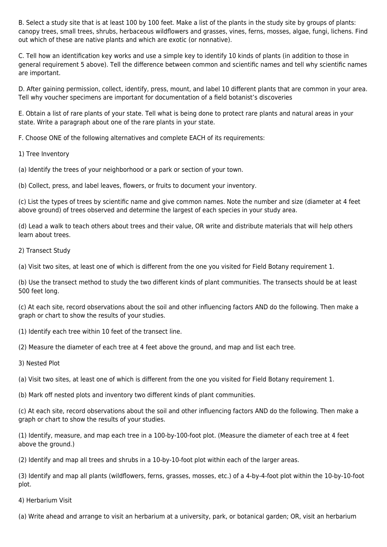B. Select a study site that is at least 100 by 100 feet. Make a list of the plants in the study site by groups of plants: canopy trees, small trees, shrubs, herbaceous wildflowers and grasses, vines, ferns, mosses, algae, fungi, lichens. Find out which of these are native plants and which are exotic (or nonnative).

C. Tell how an identification key works and use a simple key to identify 10 kinds of plants (in addition to those in general requirement 5 above). Tell the difference between common and scientific names and tell why scientific names are important.

D. After gaining permission, collect, identify, press, mount, and label 10 different plants that are common in your area. Tell why voucher specimens are important for documentation of a field botanist's discoveries

E. Obtain a list of rare plants of your state. Tell what is being done to protect rare plants and natural areas in your state. Write a paragraph about one of the rare plants in your state.

F. Choose ONE of the following alternatives and complete EACH of its requirements:

1) Tree Inventory

(a) Identify the trees of your neighborhood or a park or section of your town.

(b) Collect, press, and label leaves, flowers, or fruits to document your inventory.

(c) List the types of trees by scientific name and give common names. Note the number and size (diameter at 4 feet above ground) of trees observed and determine the largest of each species in your study area.

(d) Lead a walk to teach others about trees and their value, OR write and distribute materials that will help others learn about trees.

2) Transect Study

(a) Visit two sites, at least one of which is different from the one you visited for Field Botany requirement 1.

(b) Use the transect method to study the two different kinds of plant communities. The transects should be at least 500 feet long.

(c) At each site, record observations about the soil and other influencing factors AND do the following. Then make a graph or chart to show the results of your studies.

(1) Identify each tree within 10 feet of the transect line.

(2) Measure the diameter of each tree at 4 feet above the ground, and map and list each tree.

3) Nested Plot

(a) Visit two sites, at least one of which is different from the one you visited for Field Botany requirement 1.

(b) Mark off nested plots and inventory two different kinds of plant communities.

(c) At each site, record observations about the soil and other influencing factors AND do the following. Then make a graph or chart to show the results of your studies.

(1) Identify, measure, and map each tree in a 100-by-100-foot plot. (Measure the diameter of each tree at 4 feet above the ground.)

(2) Identify and map all trees and shrubs in a 10-by-10-foot plot within each of the larger areas.

(3) Identify and map all plants (wildflowers, ferns, grasses, mosses, etc.) of a 4-by-4-foot plot within the 10-by-10-foot plot.

4) Herbarium Visit

(a) Write ahead and arrange to visit an herbarium at a university, park, or botanical garden; OR, visit an herbarium